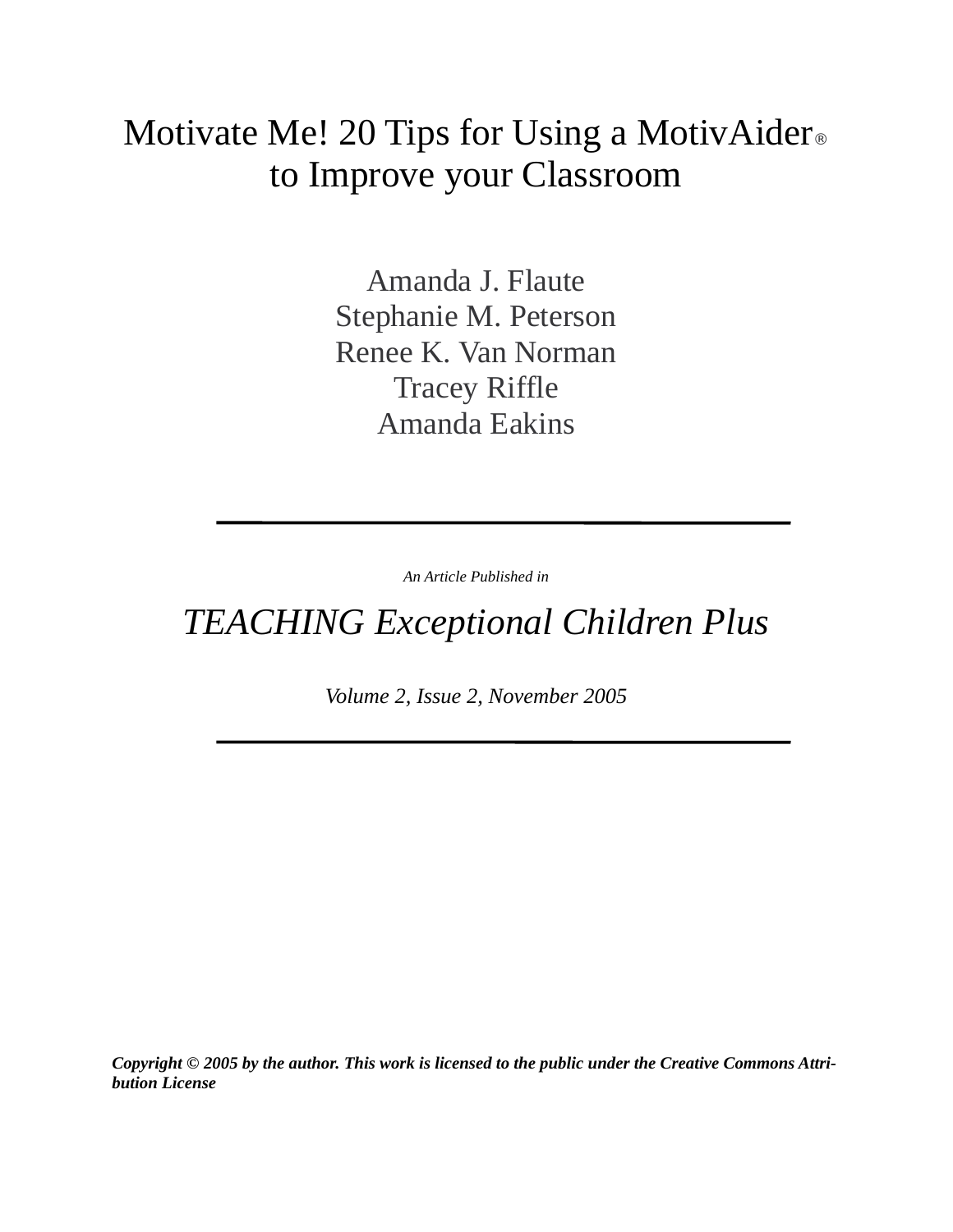# Motivate Me! 20 Tips for Using a MotivAider® to Improve your Classroom

Amanda J. Flaute Stephanie M. Peterson Renee K. Van Norman Tracey Riffle Amanda Eakins

*An Article Published in*

## *TEACHING Exceptional Children Plus*

*Volume 2, Issue 2, November 2005*

*Copyright © 2005 by the author. This work is licensed to the public under the Creative Commons Attribution License*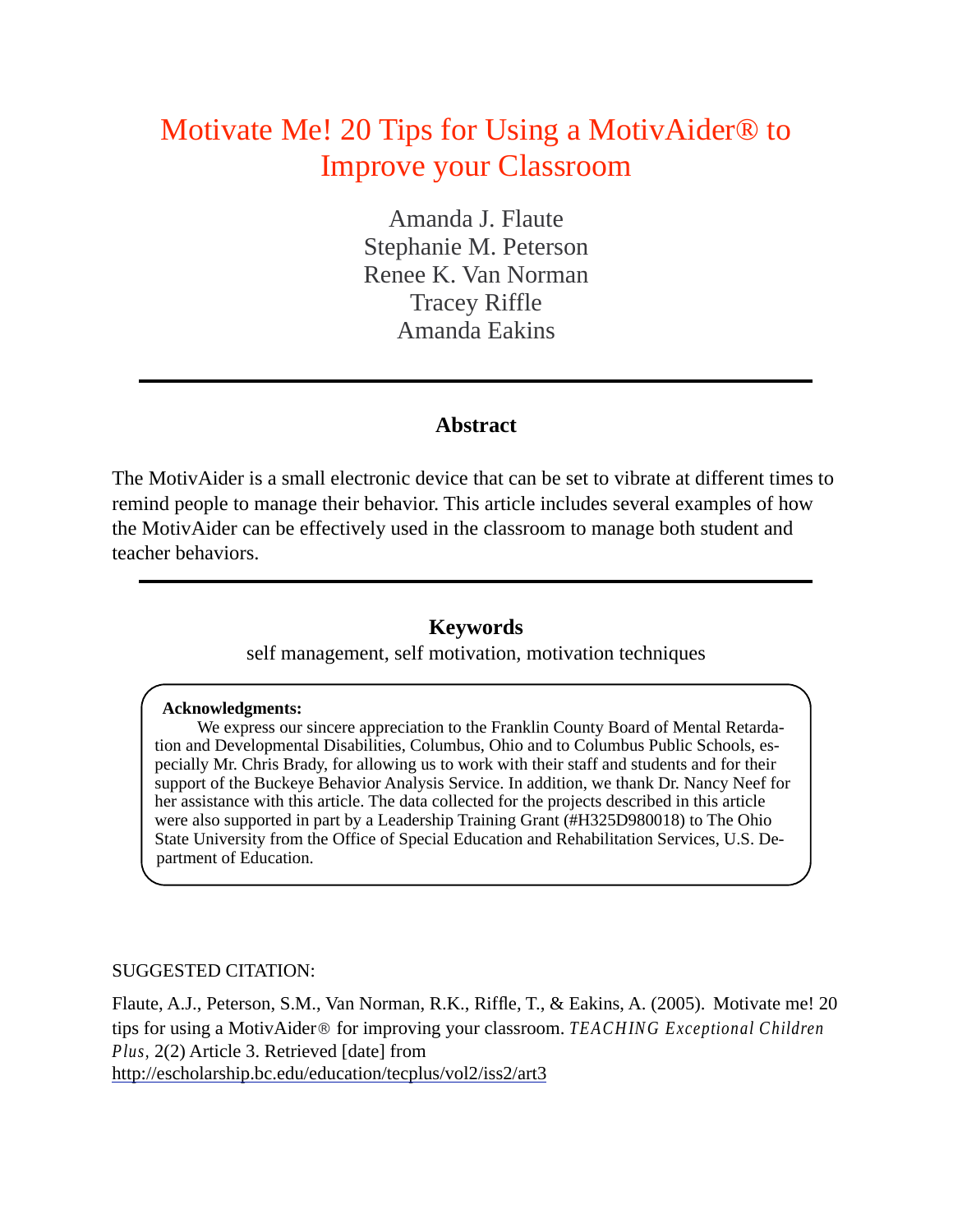## Motivate Me! 20 Tips for Using a MotivAider® to Improve your Classroom

Amanda J. Flaute Stephanie M. Peterson Renee K. Van Norman Tracey Riffle Amanda Eakins

### **Abstract**

The MotivAider is a small electronic device that can be set to vibrate at different times to remind people to manage their behavior. This article includes several examples of how the MotivAider can be effectively used in the classroom to manage both student and teacher behaviors.

## **Keywords**

self management, self motivation, motivation techniques

#### **Acknowledgments:**

 We express our sincere appreciation to the Franklin County Board of Mental Retardation and Developmental Disabilities, Columbus, Ohio and to Columbus Public Schools, especially Mr. Chris Brady, for allowing us to work with their staff and students and for their support of the Buckeye Behavior Analysis Service. In addition, we thank Dr. Nancy Neef for her assistance with this article. The data collected for the projects described in this article were also supported in part by a Leadership Training Grant (#H325D980018) to The Ohio State University from the Office of Special Education and Rehabilitation Services, U.S. Department of Education.

#### SUGGESTED CITATION:

Flaute, A.J., Peterson, S.M., Van Norman, R.K., Riffle, T., & Eakins, A. (2005). Motivate me! 20 tips for using a MotivAider® for improving your classroom. *TEACHING Exceptional Children Plus,* 2(2) Article 3. Retrieved [date] from http://escholarship.bc.edu/education/tecplus/vol2/iss2/art3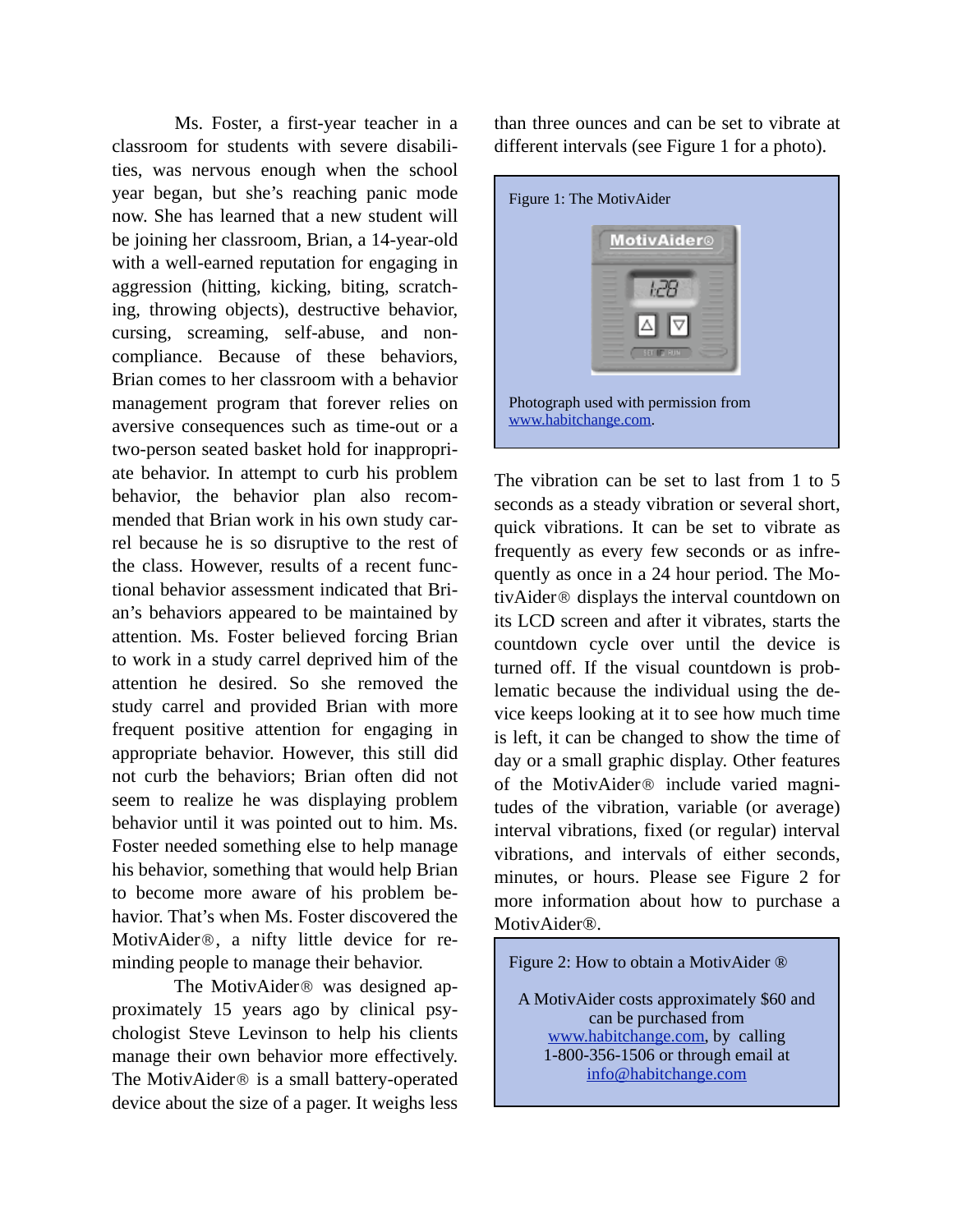Ms. Foster, a first-year teacher in a classroom for students with severe disabilities, was nervous enough when the school year began, but she's reaching panic mode now. She has learned that a new student will be joining her classroom, Brian, a 14-year-old with a well-earned reputation for engaging in aggression (hitting, kicking, biting, scratching, throwing objects), destructive behavior, cursing, screaming, self-abuse, and noncompliance. Because of these behaviors, Brian comes to her classroom with a behavior management program that forever relies on aversive consequences such as time-out or a two-person seated basket hold for inappropriate behavior. In attempt to curb his problem behavior, the behavior plan also recommended that Brian work in his own study carrel because he is so disruptive to the rest of the class. However, results of a recent functional behavior assessment indicated that Brian's behaviors appeared to be maintained by attention. Ms. Foster believed forcing Brian to work in a study carrel deprived him of the attention he desired. So she removed the study carrel and provided Brian with more frequent positive attention for engaging in appropriate behavior. However, this still did not curb the behaviors; Brian often did not seem to realize he was displaying problem behavior until it was pointed out to him. Ms. Foster needed something else to help manage his behavior, something that would help Brian to become more aware of his problem behavior. That's when Ms. Foster discovered the MotivAider®, a nifty little device for reminding people to manage their behavior.

 The MotivAider® was designed approximately 15 years ago by clinical psychologist Steve Levinson to help his clients manage their own behavior more effectively. The MotivAider® is a small battery-operated device about the size of a pager. It weighs less than three ounces and can be set to vibrate at different intervals (see Figure 1 for a photo).



The vibration can be set to last from 1 to 5 seconds as a steady vibration or several short, quick vibrations. It can be set to vibrate as frequently as every few seconds or as infrequently as once in a 24 hour period. The MotivAider® displays the interval countdown on its LCD screen and after it vibrates, starts the countdown cycle over until the device is turned off. If the visual countdown is problematic because the individual using the device keeps looking at it to see how much time is left, it can be changed to show the time of day or a small graphic display. Other features of the MotivAider® include varied magnitudes of the vibration, variable (or average) interval vibrations, fixed (or regular) interval vibrations, and intervals of either seconds, minutes, or hours. Please see Figure 2 for more information about how to purchase a MotivAider®.



A MotivAider costs approximately \$60 and can be purchased from www.habitchange.com, by calling 1-800-356-1506 or through email at info@habitchange.com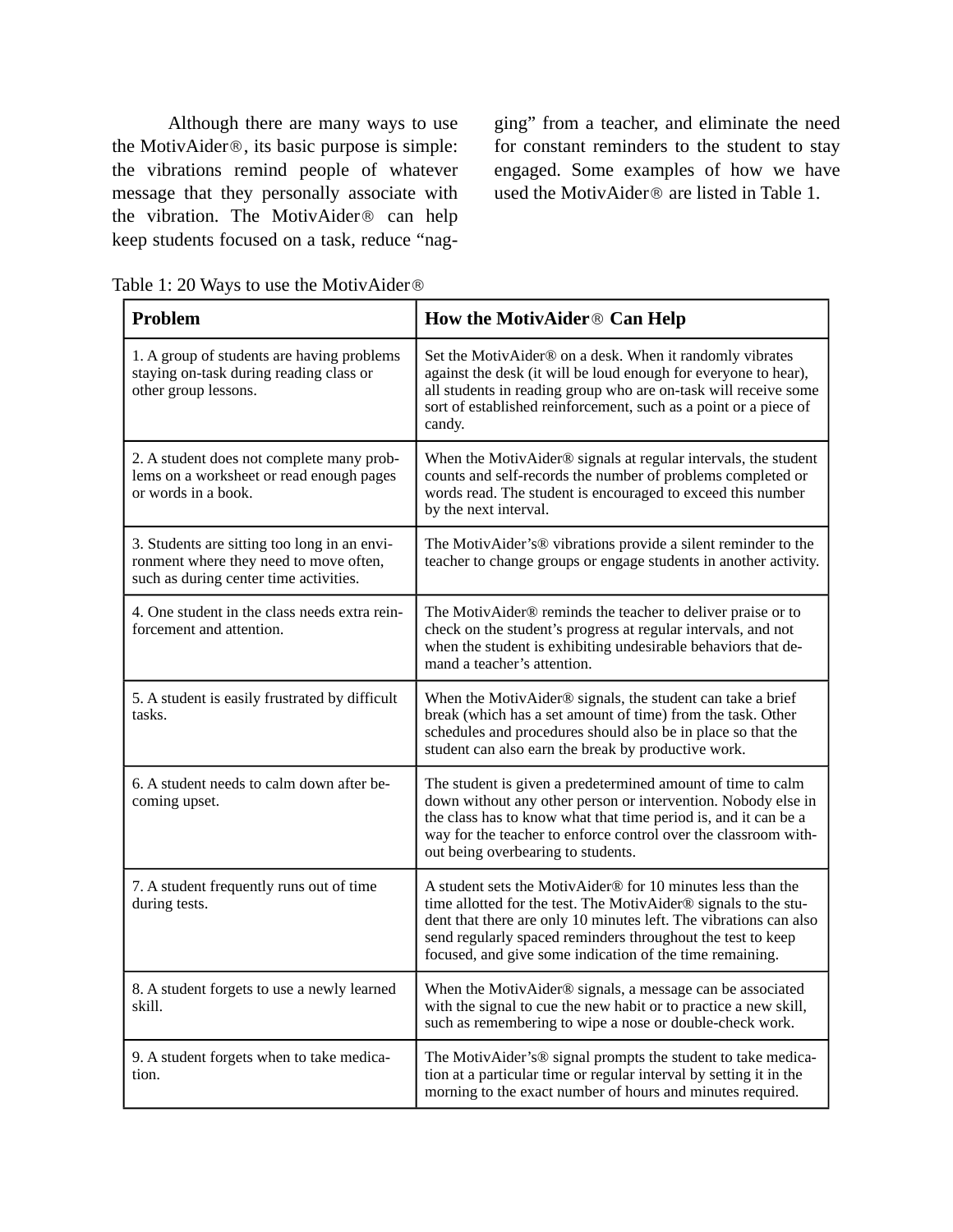Although there are many ways to use the MotivAider®, its basic purpose is simple: the vibrations remind people of whatever message that they personally associate with the vibration. The MotivAider® can help keep students focused on a task, reduce "nagging" from a teacher, and eliminate the need for constant reminders to the student to stay engaged. Some examples of how we have used the MotivAider® are listed in Table 1.

| Table 1: 20 Ways to use the MotivAider <sup>®</sup> |  |  |  |  |
|-----------------------------------------------------|--|--|--|--|
|-----------------------------------------------------|--|--|--|--|

| <b>Problem</b>                                                                                                                   | How the MotivAider <sup>®</sup> Can Help                                                                                                                                                                                                                                                                                       |  |  |
|----------------------------------------------------------------------------------------------------------------------------------|--------------------------------------------------------------------------------------------------------------------------------------------------------------------------------------------------------------------------------------------------------------------------------------------------------------------------------|--|--|
| 1. A group of students are having problems<br>staying on-task during reading class or<br>other group lessons.                    | Set the MotivAider® on a desk. When it randomly vibrates<br>against the desk (it will be loud enough for everyone to hear),<br>all students in reading group who are on-task will receive some<br>sort of established reinforcement, such as a point or a piece of<br>candy.                                                   |  |  |
| 2. A student does not complete many prob-<br>lems on a worksheet or read enough pages<br>or words in a book.                     | When the MotivAider® signals at regular intervals, the student<br>counts and self-records the number of problems completed or<br>words read. The student is encouraged to exceed this number<br>by the next interval.                                                                                                          |  |  |
| 3. Students are sitting too long in an envi-<br>ronment where they need to move often,<br>such as during center time activities. | The MotivAider's® vibrations provide a silent reminder to the<br>teacher to change groups or engage students in another activity.                                                                                                                                                                                              |  |  |
| 4. One student in the class needs extra rein-<br>forcement and attention.                                                        | The MotivAider® reminds the teacher to deliver praise or to<br>check on the student's progress at regular intervals, and not<br>when the student is exhibiting undesirable behaviors that de-<br>mand a teacher's attention.                                                                                                   |  |  |
| 5. A student is easily frustrated by difficult<br>tasks.                                                                         | When the MotivAider® signals, the student can take a brief<br>break (which has a set amount of time) from the task. Other<br>schedules and procedures should also be in place so that the<br>student can also earn the break by productive work.                                                                               |  |  |
| 6. A student needs to calm down after be-<br>coming upset.                                                                       | The student is given a predetermined amount of time to calm<br>down without any other person or intervention. Nobody else in<br>the class has to know what that time period is, and it can be a<br>way for the teacher to enforce control over the classroom with-<br>out being overbearing to students.                       |  |  |
| 7. A student frequently runs out of time<br>during tests.                                                                        | A student sets the MotivAider® for 10 minutes less than the<br>time allotted for the test. The MotivAider® signals to the stu-<br>dent that there are only 10 minutes left. The vibrations can also<br>send regularly spaced reminders throughout the test to keep<br>focused, and give some indication of the time remaining. |  |  |
| 8. A student forgets to use a newly learned<br>skill.                                                                            | When the MotivAider® signals, a message can be associated<br>with the signal to cue the new habit or to practice a new skill,<br>such as remembering to wipe a nose or double-check work.                                                                                                                                      |  |  |
| 9. A student forgets when to take medica-<br>tion.                                                                               | The MotivAider's® signal prompts the student to take medica-<br>tion at a particular time or regular interval by setting it in the<br>morning to the exact number of hours and minutes required.                                                                                                                               |  |  |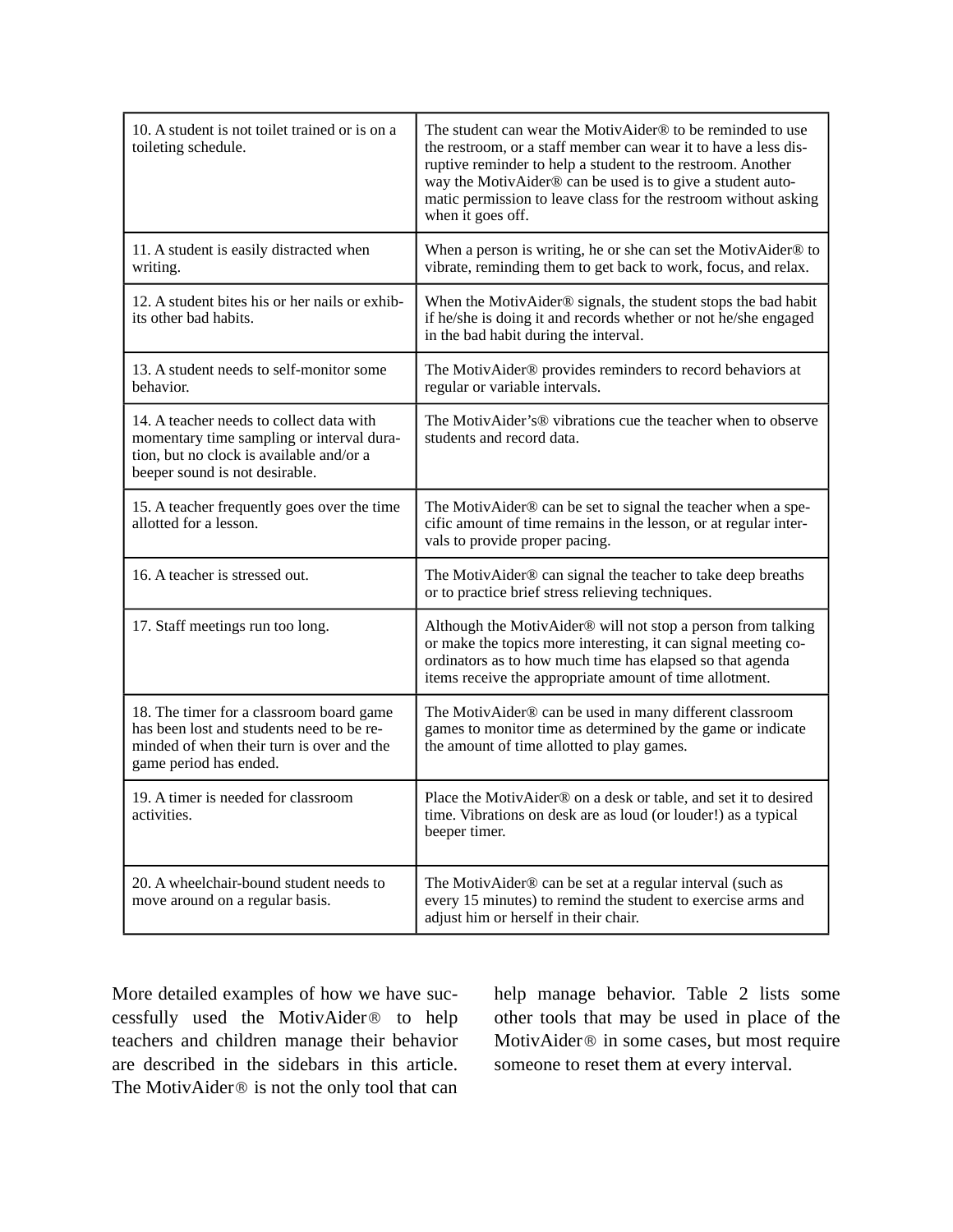| 10. A student is not toilet trained or is on a<br>toileting schedule.                                                                                               | The student can wear the MotivAider® to be reminded to use<br>the restroom, or a staff member can wear it to have a less dis-<br>ruptive reminder to help a student to the restroom. Another<br>way the MotivAider® can be used is to give a student auto-<br>matic permission to leave class for the restroom without asking<br>when it goes off. |  |
|---------------------------------------------------------------------------------------------------------------------------------------------------------------------|----------------------------------------------------------------------------------------------------------------------------------------------------------------------------------------------------------------------------------------------------------------------------------------------------------------------------------------------------|--|
| 11. A student is easily distracted when<br>writing.                                                                                                                 | When a person is writing, he or she can set the MotivAider® to<br>vibrate, reminding them to get back to work, focus, and relax.                                                                                                                                                                                                                   |  |
| 12. A student bites his or her nails or exhib-<br>its other bad habits.                                                                                             | When the MotivAider® signals, the student stops the bad habit<br>if he/she is doing it and records whether or not he/she engaged<br>in the bad habit during the interval.                                                                                                                                                                          |  |
| 13. A student needs to self-monitor some<br>behavior.                                                                                                               | The MotivAider® provides reminders to record behaviors at<br>regular or variable intervals.                                                                                                                                                                                                                                                        |  |
| 14. A teacher needs to collect data with<br>momentary time sampling or interval dura-<br>tion, but no clock is available and/or a<br>beeper sound is not desirable. | The MotivAider's® vibrations cue the teacher when to observe<br>students and record data.                                                                                                                                                                                                                                                          |  |
| 15. A teacher frequently goes over the time<br>allotted for a lesson.                                                                                               | The MotivAider® can be set to signal the teacher when a spe-<br>cific amount of time remains in the lesson, or at regular inter-<br>vals to provide proper pacing.                                                                                                                                                                                 |  |
| 16. A teacher is stressed out.                                                                                                                                      | The MotivAider® can signal the teacher to take deep breaths<br>or to practice brief stress relieving techniques.                                                                                                                                                                                                                                   |  |
| 17. Staff meetings run too long.                                                                                                                                    | Although the MotivAider® will not stop a person from talking<br>or make the topics more interesting, it can signal meeting co-<br>ordinators as to how much time has elapsed so that agenda<br>items receive the appropriate amount of time allotment.                                                                                             |  |
| 18. The timer for a classroom board game<br>has been lost and students need to be re-<br>minded of when their turn is over and the<br>game period has ended.        | The MotivAider® can be used in many different classroom<br>games to monitor time as determined by the game or indicate<br>the amount of time allotted to play games.                                                                                                                                                                               |  |
| 19. A timer is needed for classroom<br>activities.                                                                                                                  | Place the MotivAider® on a desk or table, and set it to desired<br>time. Vibrations on desk are as loud (or louder!) as a typical<br>beeper timer.                                                                                                                                                                                                 |  |
| 20. A wheelchair-bound student needs to<br>move around on a regular basis.                                                                                          | The MotivAider <sup>®</sup> can be set at a regular interval (such as<br>every 15 minutes) to remind the student to exercise arms and<br>adjust him or herself in their chair.                                                                                                                                                                     |  |

More detailed examples of how we have successfully used the MotivAider® to help teachers and children manage their behavior are described in the sidebars in this article. The MotivAider® is not the only tool that can

help manage behavior. Table 2 lists some other tools that may be used in place of the MotivAider® in some cases, but most require someone to reset them at every interval.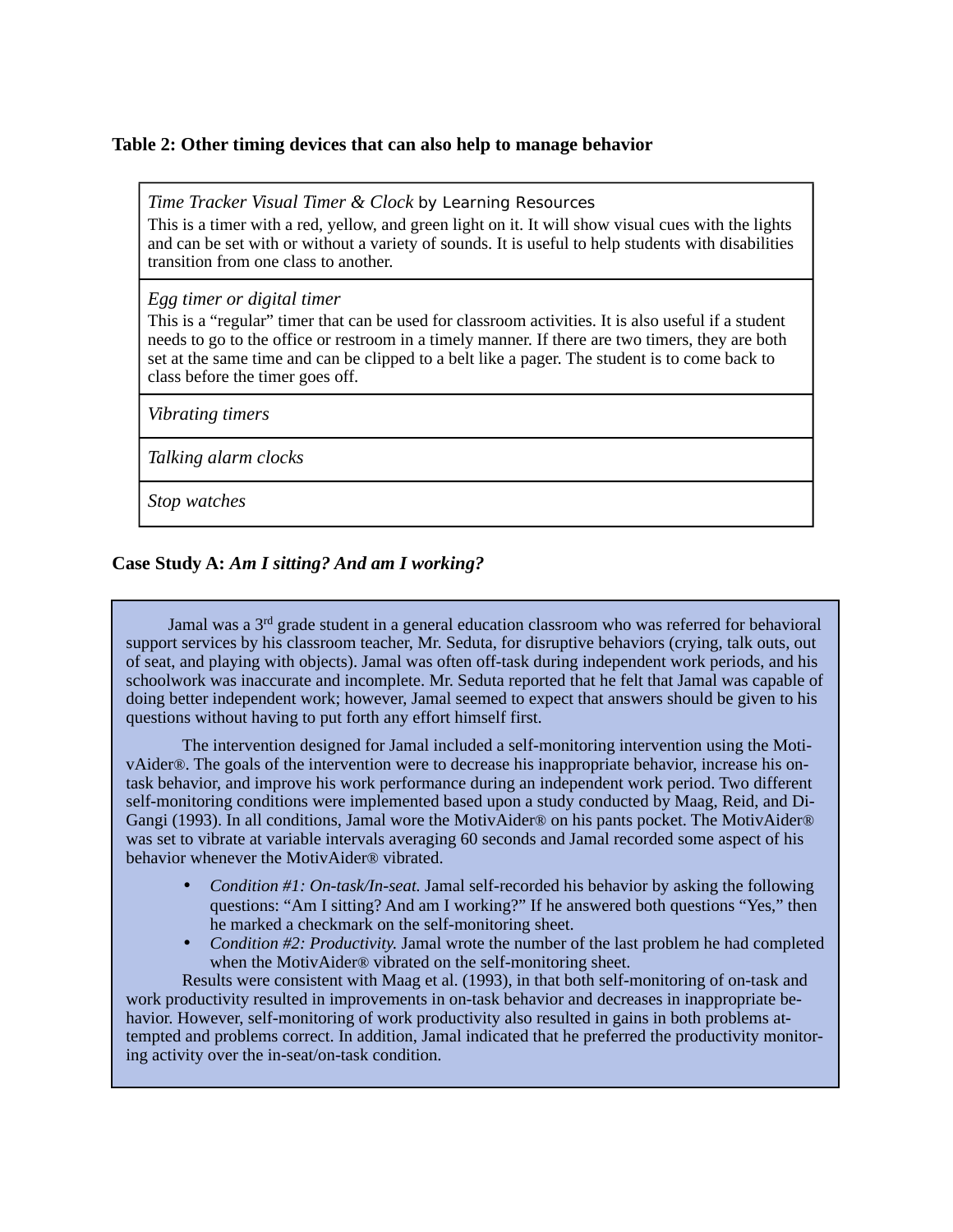#### **Table 2: Other timing devices that can also help to manage behavior**

*Time Tracker Visual Timer & Clock by Learning Resources*

This is a timer with a red, yellow, and green light on it. It will show visual cues with the lights and can be set with or without a variety of sounds. It is useful to help students with disabilities transition from one class to another.

*Egg timer or digital timer*

This is a "regular" timer that can be used for classroom activities. It is also useful if a student needs to go to the office or restroom in a timely manner. If there are two timers, they are both set at the same time and can be clipped to a belt like a pager. The student is to come back to class before the timer goes off.

*Vibrating timers*

*Talking alarm clocks*

*Stop watches*

#### **Case Study A:** *Am I sitting? And am I working?*

Jamal was a 3rd grade student in a general education classroom who was referred for behavioral support services by his classroom teacher, Mr. Seduta, for disruptive behaviors (crying, talk outs, out of seat, and playing with objects). Jamal was often off-task during independent work periods, and his schoolwork was inaccurate and incomplete. Mr. Seduta reported that he felt that Jamal was capable of doing better independent work; however, Jamal seemed to expect that answers should be given to his questions without having to put forth any effort himself first.

The intervention designed for Jamal included a self-monitoring intervention using the MotivAider®. The goals of the intervention were to decrease his inappropriate behavior, increase his ontask behavior, and improve his work performance during an independent work period. Two different self-monitoring conditions were implemented based upon a study conducted by Maag, Reid, and Di-Gangi (1993). In all conditions, Jamal wore the MotivAider® on his pants pocket. The MotivAider® was set to vibrate at variable intervals averaging 60 seconds and Jamal recorded some aspect of his behavior whenever the MotivAider® vibrated.

- *Condition #1: On-task/In-seat.* Jamal self-recorded his behavior by asking the following questions: "Am I sitting? And am I working?" If he answered both questions "Yes," then he marked a checkmark on the self-monitoring sheet.
- *Condition #2: Productivity.* Jamal wrote the number of the last problem he had completed when the MotivAider® vibrated on the self-monitoring sheet.

Results were consistent with Maag et al. (1993), in that both self-monitoring of on-task and work productivity resulted in improvements in on-task behavior and decreases in inappropriate behavior. However, self-monitoring of work productivity also resulted in gains in both problems attempted and problems correct. In addition, Jamal indicated that he preferred the productivity monitoring activity over the in-seat/on-task condition.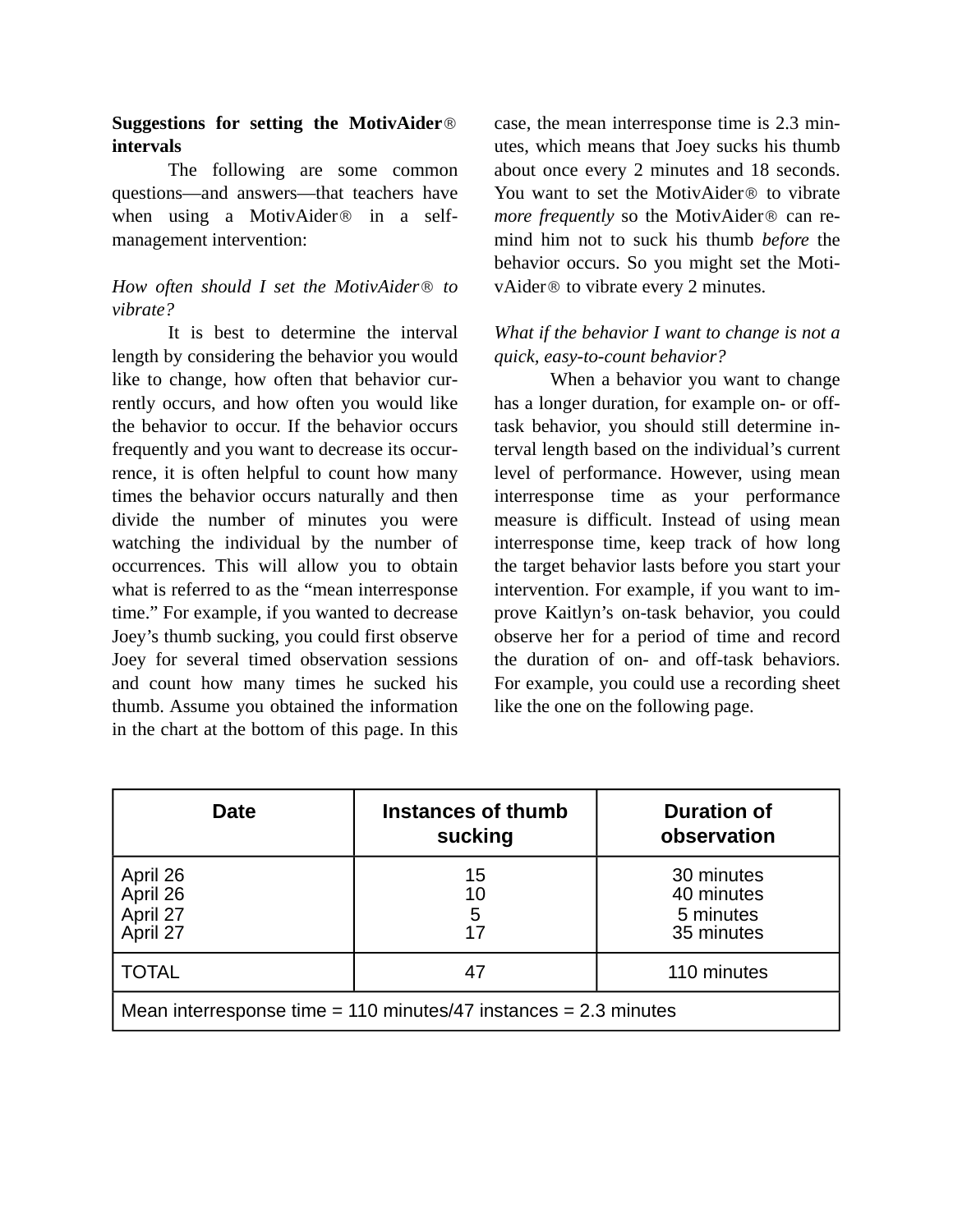#### **Suggestions for setting the MotivAider**® **intervals**

The following are some common questions—and answers—that teachers have when using a MotivAider® in a selfmanagement intervention:

### *How often should I set the MotivAider*® *to vibrate?*

It is best to determine the interval length by considering the behavior you would like to change, how often that behavior currently occurs, and how often you would like the behavior to occur. If the behavior occurs frequently and you want to decrease its occurrence, it is often helpful to count how many times the behavior occurs naturally and then divide the number of minutes you were watching the individual by the number of occurrences. This will allow you to obtain what is referred to as the "mean interresponse time." For example, if you wanted to decrease Joey's thumb sucking, you could first observe Joey for several timed observation sessions and count how many times he sucked his thumb. Assume you obtained the information in the chart at the bottom of this page. In this

case, the mean interresponse time is 2.3 minutes, which means that Joey sucks his thumb about once every 2 minutes and 18 seconds. You want to set the MotivAider® to vibrate *more frequently* so the MotivAider® can remind him not to suck his thumb *before* the behavior occurs. So you might set the MotivAider® to vibrate every 2 minutes.

#### *What if the behavior I want to change is not a quick, easy-to-count behavior?*

When a behavior you want to change has a longer duration, for example on- or offtask behavior, you should still determine interval length based on the individual's current level of performance. However, using mean interresponse time as your performance measure is difficult. Instead of using mean interresponse time, keep track of how long the target behavior lasts before you start your intervention. For example, if you want to improve Kaitlyn's on-task behavior, you could observe her for a period of time and record the duration of on- and off-task behaviors. For example, you could use a recording sheet like the one on the following page.

| <b>Date</b>                                                          | Instances of thumb<br>sucking | <b>Duration of</b><br>observation                   |  |  |
|----------------------------------------------------------------------|-------------------------------|-----------------------------------------------------|--|--|
| April 26<br>April 26<br>April 27<br>April 27                         | 15<br>10<br>5                 | 30 minutes<br>40 minutes<br>5 minutes<br>35 minutes |  |  |
| <b>TOTAL</b>                                                         |                               | 110 minutes                                         |  |  |
| Mean interresponse time = $110$ minutes/47 instances = $2.3$ minutes |                               |                                                     |  |  |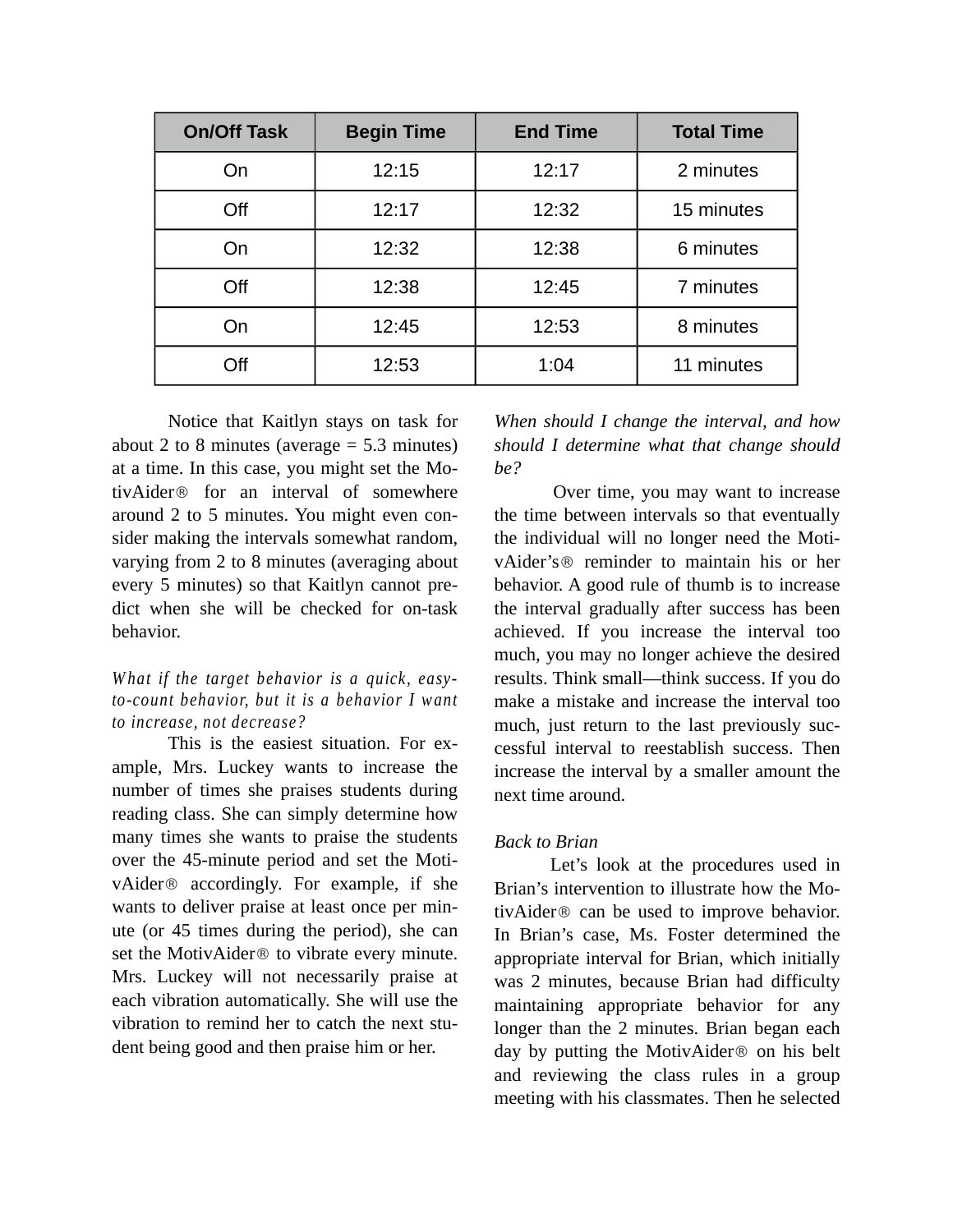| <b>On/Off Task</b> | <b>Begin Time</b> | <b>End Time</b> | <b>Total Time</b> |
|--------------------|-------------------|-----------------|-------------------|
| On                 | 12:15             | 12:17           | 2 minutes         |
| Off                | 12:17             | 12:32           | 15 minutes        |
| On                 | 12:32             | 12:38           | 6 minutes         |
| Off                | 12:38             | 12:45           | 7 minutes         |
| On                 | 12:45             | 12:53           | 8 minutes         |
| Off                | 12:53             | 1:04            | 11 minutes        |

Notice that Kaitlyn stays on task for about 2 to 8 minutes (average  $= 5.3$  minutes) at a time. In this case, you might set the MotivAider® for an interval of somewhere around 2 to 5 minutes. You might even consider making the intervals somewhat random, varying from 2 to 8 minutes (averaging about every 5 minutes) so that Kaitlyn cannot predict when she will be checked for on-task behavior.

#### *What if the target behavior is a quick, easyto-count behavior, but it is a behavior I want to increase, not decrease?*

This is the easiest situation. For example, Mrs. Luckey wants to increase the number of times she praises students during reading class. She can simply determine how many times she wants to praise the students over the 45-minute period and set the MotivAider® accordingly. For example, if she wants to deliver praise at least once per minute (or 45 times during the period), she can set the MotivAider® to vibrate every minute. Mrs. Luckey will not necessarily praise at each vibration automatically. She will use the vibration to remind her to catch the next student being good and then praise him or her.

*When should I change the interval, and how should I determine what that change should be?*

Over time, you may want to increase the time between intervals so that eventually the individual will no longer need the MotivAider's® reminder to maintain his or her behavior. A good rule of thumb is to increase the interval gradually after success has been achieved. If you increase the interval too much, you may no longer achieve the desired results. Think small—think success. If you do make a mistake and increase the interval too much, just return to the last previously successful interval to reestablish success. Then increase the interval by a smaller amount the next time around.

#### *Back to Brian*

Let's look at the procedures used in Brian's intervention to illustrate how the MotivAider® can be used to improve behavior. In Brian's case, Ms. Foster determined the appropriate interval for Brian, which initially was 2 minutes, because Brian had difficulty maintaining appropriate behavior for any longer than the 2 minutes. Brian began each day by putting the MotivAider® on his belt and reviewing the class rules in a group meeting with his classmates. Then he selected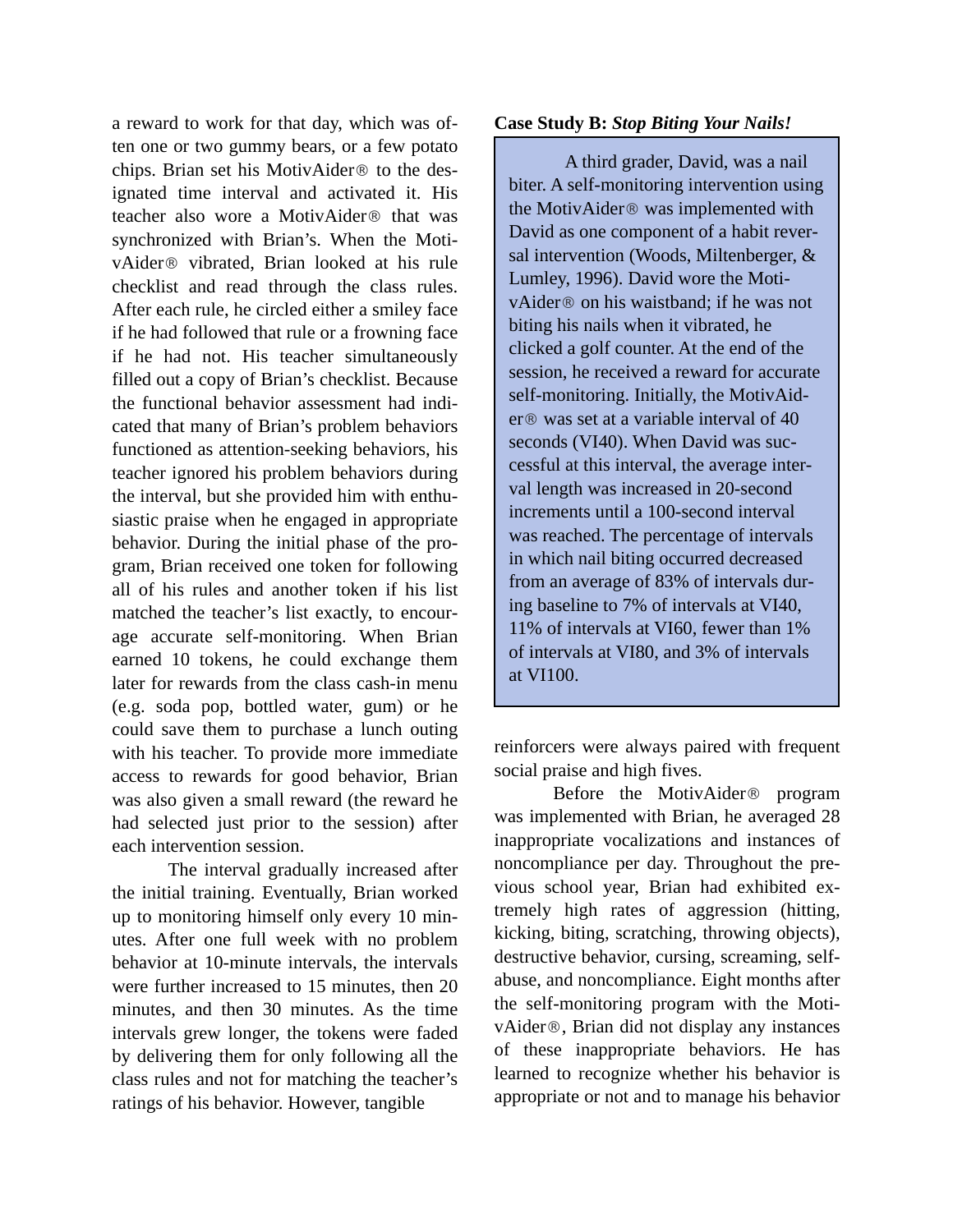a reward to work for that day, which was often one or two gummy bears, or a few potato chips. Brian set his MotivAider® to the designated time interval and activated it. His teacher also wore a MotivAider® that was synchronized with Brian's. When the MotivAider® vibrated, Brian looked at his rule checklist and read through the class rules. After each rule, he circled either a smiley face if he had followed that rule or a frowning face if he had not. His teacher simultaneously filled out a copy of Brian's checklist. Because the functional behavior assessment had indicated that many of Brian's problem behaviors functioned as attention-seeking behaviors, his teacher ignored his problem behaviors during the interval, but she provided him with enthusiastic praise when he engaged in appropriate behavior. During the initial phase of the program, Brian received one token for following all of his rules and another token if his list matched the teacher's list exactly, to encourage accurate self-monitoring. When Brian earned 10 tokens, he could exchange them later for rewards from the class cash-in menu (e.g. soda pop, bottled water, gum) or he could save them to purchase a lunch outing with his teacher. To provide more immediate access to rewards for good behavior, Brian was also given a small reward (the reward he had selected just prior to the session) after each intervention session.

The interval gradually increased after the initial training. Eventually, Brian worked up to monitoring himself only every 10 minutes. After one full week with no problem behavior at 10-minute intervals, the intervals were further increased to 15 minutes, then 20 minutes, and then 30 minutes. As the time intervals grew longer, the tokens were faded by delivering them for only following all the class rules and not for matching the teacher's ratings of his behavior. However, tangible

#### **Case Study B:** *Stop Biting Your Nails!*

A third grader, David, was a nail biter. A self-monitoring intervention using the MotivAider® was implemented with David as one component of a habit reversal intervention (Woods, Miltenberger, & Lumley, 1996). David wore the MotivAider® on his waistband; if he was not biting his nails when it vibrated, he clicked a golf counter. At the end of the session, he received a reward for accurate self-monitoring. Initially, the MotivAider® was set at a variable interval of 40 seconds (VI40). When David was successful at this interval, the average interval length was increased in 20-second increments until a 100-second interval was reached. The percentage of intervals in which nail biting occurred decreased from an average of 83% of intervals during baseline to 7% of intervals at VI40, 11% of intervals at VI60, fewer than 1% of intervals at VI80, and 3% of intervals at VI100.

reinforcers were always paired with frequent social praise and high fives.

Before the MotivAider® program was implemented with Brian, he averaged 28 inappropriate vocalizations and instances of noncompliance per day. Throughout the previous school year, Brian had exhibited extremely high rates of aggression (hitting, kicking, biting, scratching, throwing objects), destructive behavior, cursing, screaming, selfabuse, and noncompliance. Eight months after the self-monitoring program with the MotivAider®, Brian did not display any instances of these inappropriate behaviors. He has learned to recognize whether his behavior is appropriate or not and to manage his behavior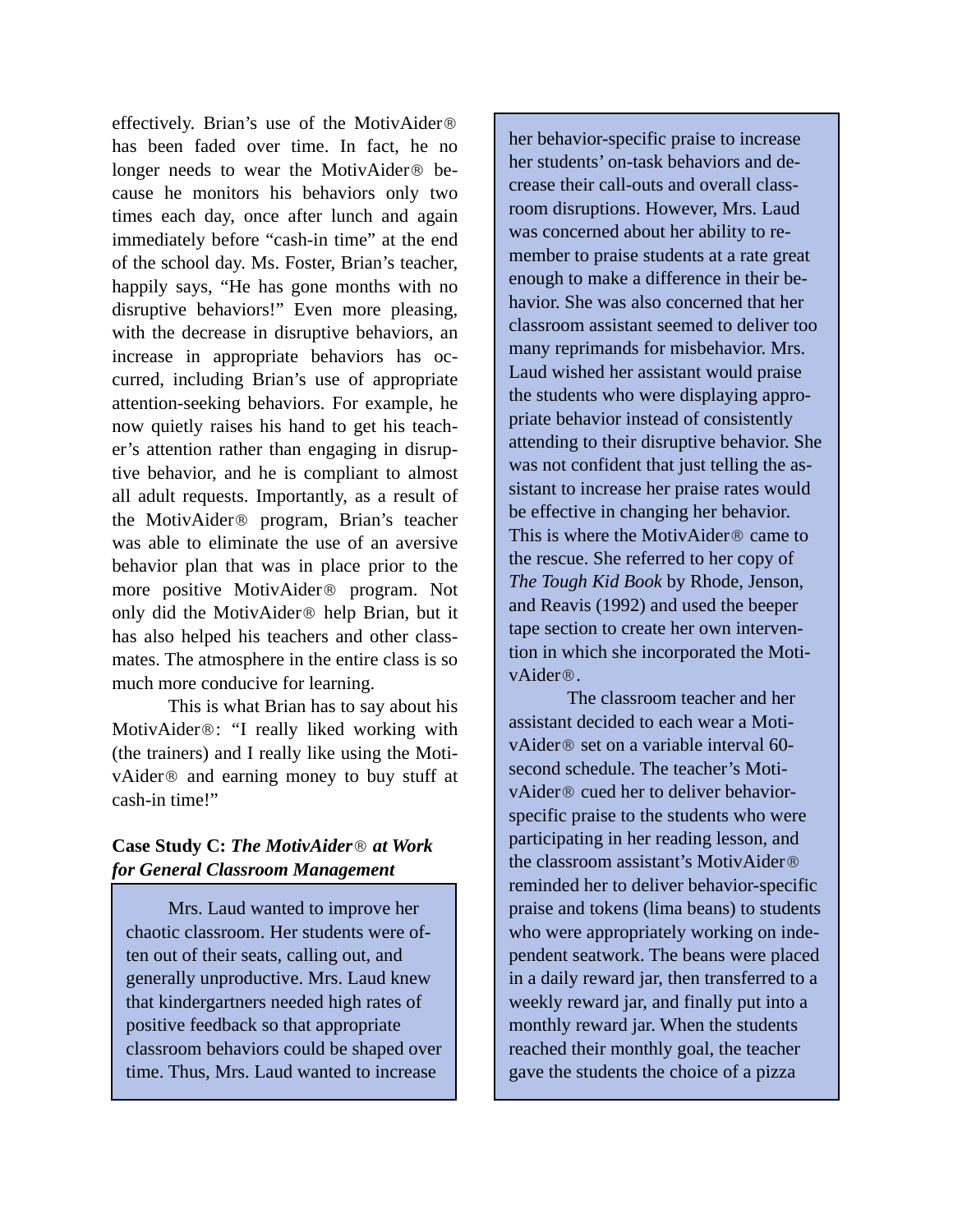effectively. Brian's use of the MotivAider® has been faded over time. In fact, he no longer needs to wear the MotivAider® because he monitors his behaviors only two times each day, once after lunch and again immediately before "cash-in time" at the end of the school day. Ms. Foster, Brian's teacher, happily says, "He has gone months with no disruptive behaviors!" Even more pleasing, with the decrease in disruptive behaviors, an increase in appropriate behaviors has occurred, including Brian's use of appropriate attention-seeking behaviors. For example, he now quietly raises his hand to get his teacher's attention rather than engaging in disruptive behavior, and he is compliant to almost all adult requests. Importantly, as a result of the MotivAider® program, Brian's teacher was able to eliminate the use of an aversive behavior plan that was in place prior to the more positive MotivAider® program. Not only did the MotivAider® help Brian, but it has also helped his teachers and other classmates. The atmosphere in the entire class is so much more conducive for learning.

This is what Brian has to say about his MotivAider®: *"*I really liked working with (the trainers) and I really like using the MotivAider® and earning money to buy stuff at cash-in time!"

#### **Case Study C:** *The MotivAider*® *at Work for General Classroom Management*

Mrs. Laud wanted to improve her chaotic classroom. Her students were often out of their seats, calling out, and generally unproductive. Mrs. Laud knew that kindergartners needed high rates of positive feedback so that appropriate classroom behaviors could be shaped over time. Thus, Mrs. Laud wanted to increase

her behavior-specific praise to increase her students' on-task behaviors and decrease their call-outs and overall classroom disruptions. However, Mrs. Laud was concerned about her ability to remember to praise students at a rate great enough to make a difference in their behavior. She was also concerned that her classroom assistant seemed to deliver too many reprimands for misbehavior. Mrs. Laud wished her assistant would praise the students who were displaying appropriate behavior instead of consistently attending to their disruptive behavior. She was not confident that just telling the assistant to increase her praise rates would be effective in changing her behavior. This is where the MotivAider® came to the rescue. She referred to her copy of *The Tough Kid Book* by Rhode, Jenson, and Reavis (1992) and used the beeper tape section to create her own intervention in which she incorporated the MotivAider®.

The classroom teacher and her assistant decided to each wear a MotivAider® set on a variable interval 60 second schedule. The teacher's MotivAider® cued her to deliver behaviorspecific praise to the students who were participating in her reading lesson, and the classroom assistant's MotivAider® reminded her to deliver behavior-specific praise and tokens (lima beans) to students who were appropriately working on independent seatwork. The beans were placed in a daily reward jar, then transferred to a weekly reward jar, and finally put into a monthly reward jar. When the students reached their monthly goal, the teacher gave the students the choice of a pizza